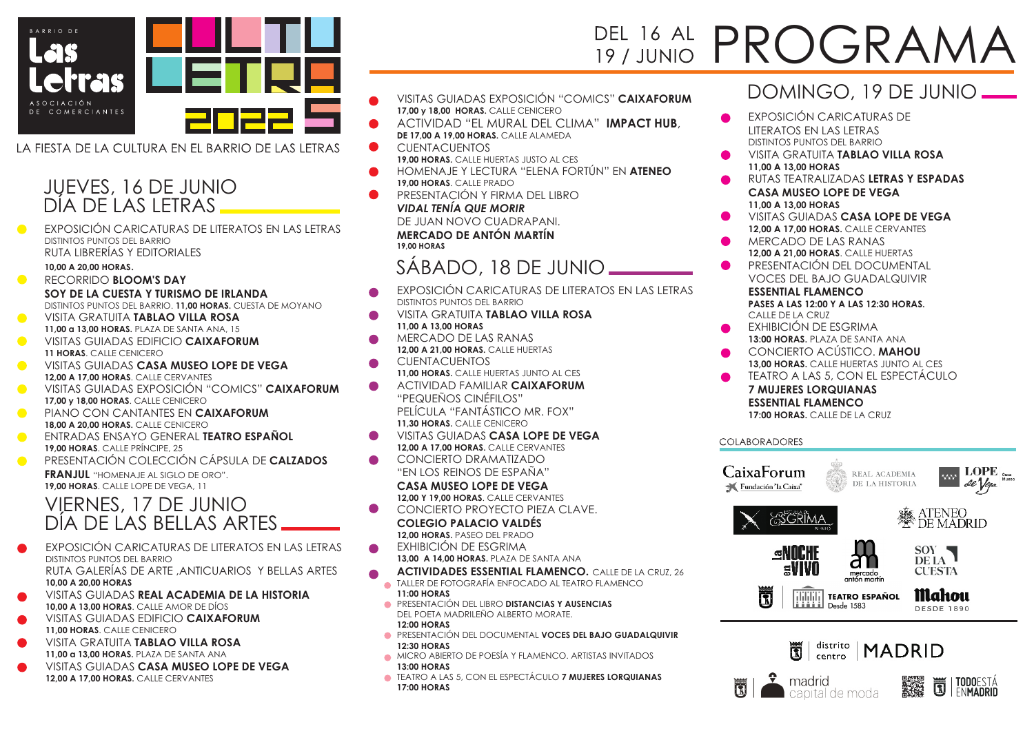

LA FIESTA DE LA CULTURA EN EL BARRIO DE LAS LETRAS

## JUEVES, 16 DE JUNIO DÍA DE LAS LETRAS

DISTINTOS PUNTOS DEL BARRIO RUTA LIBRERÍAS Y EDITORIALES EXPOSICIÓN CARICATURAS DE LITERATOS EN LAS LETRAS

#### **10,00 A 20,00 HORAS**.

- $\bullet$ RECORRIDO **BLOOM'S DAY SOY DE LA CUESTA Y TURISMO DE IRLANDA** DISTINTOS PUNTOS DEL BARRIO. **11,00 HORAS.** CUESTA DE MOYANO VISITA GRATUITA **TABLAO VILLA ROSA**
- **11,00 a 13,00 HORAS.** PLAZA DE SANTA ANA, 15
- VISITAS GUIADAS EDIFICIO **CAIXAFORUM 11 HORAS**. CALLE CENICERO
- VISITAS GUIADAS **CASA MUSEO LOPE DE VEGA**  $\bullet$ **12,00 A 17,00 HORAS**. CALLE CERVANTES
- $\bullet$ VISITAS GUIADAS EXPOSICIÓN "COMICS" **CAIXAFORUM 17,00 y 18,00 HORAS**. CALLE CENICERO
- $\bullet$ PIANO CON CANTANTES EN **CAIXAFORUM 18,00 A 20,00 HORAS.** CALLE CENICERO
- ENTRADAS ENSAYO GENERAL **TEATRO ESPAÑOL**  $\bullet$ **19,00 HORAS**. CALLE PRÍNCIPE, 25
- PRESENTACIÓN COLECCIÓN CÁPSULA DE **CALZADOS FRANJUL** "HOMENAJE AL SIGLO DE ORO". **19,00 HORAS**. CALLE LOPE DE VEGA, 11

## VIERNES, 17 DE JUNIO DÍA DE LAS BELLAS ARTES

- EXPOSICIÓN CARICATURAS DE LITERATOS EN LAS LETRAS DISTINTOS PUNTOS DEL BARRIO RUTA GALERÍAS DE ARTE ,ANTICUARIOS Y BELLAS ARTES **10,00 A 20,00 HORAS**
- VISITAS GUIADAS **REAL ACADEMIA DE LA HISTORIA 10,00 A 13,00 HORAS**. CALLE AMOR DE DÍOS
- VISITAS GUIADAS EDIFICIO **CAIXAFORUM 11,00 HORAS**. CALLE CENICERO
- VISITA GRATUITA **TABLAO VILLA ROSA 11,00 a 13,00 HORAS.** PLAZA DE SANTA ANA
- VISITAS GUIADAS **CASA MUSEO LOPE DE VEGA 12,00 A 17,00 HORAS.** CALLE CERVANTES
- VISITAS GUIADAS EXPOSICIÓN "COMICS" **CAIXAFORUM 17,00 y 18,00 HORAS.** CALLE CENICERO
- ACTIVIDAD "EL MURAL DEL CLIMA" **IMPACT HUB**, **DE 17.00 A 19.00 HORAS. CALLE ALAMEDA**
- CUENTACUENTOS **19,00 HORAS.** CALLE HUERTAS JUSTO AL CES
- HOMENAJE Y LECTURA "ELENA FORTÚN" EN **ATENEO 19,00 HORAS**. CALLE PRADO
- PRESENTACIÓN Y FIRMA DEL LIBRO *VIDAL TENÍA QUE MORIR* DE JUAN NOVO CUADRAPANI.

**MERCADO DE ANTÓN MARTÍN 19,00 HORAS**

## SÁBADO, 18 DE JUNIO

- EXPOSICIÓN CARICATURAS DE LITERATOS EN LAS LETRAS DISTINTOS PUNTOS DEL BARRIO
- VISITA GRATUITA **TABLAO VILLA ROSA 11,00 A 13,00 HORAS**
- MERCADO DE LAS RANAS **12,00 A 21,00 HORAS.** CALLE HUERTAS
- **CUENTACUENTOS 11,00 HORAS.** CALLE HUERTAS JUNTO AL CES
- ACTIVIDAD FAMILIAR **CAIXAFORUM** "PEQUEÑOS CINÉFILOS" PELÍCULA "FANTÁSTICO MR. FOX" **11,30 HORAS.** CALLE CENICERO
- VISITAS GUIADAS **CASA LOPE DE VEGA 12,00 A 17,00 HORAS.** CALLE CERVANTES
- CONCIERTO DRAMATIZADO "EN LOS REINOS DE ESPAÑA"

#### **CASA MUSEO LOPE DE VEGA 12,00 Y 19,00 HORAS**. CALLE CERVANTES

- $\bullet$ CONCIERTO PROYECTO PIEZA CLAVE. **COLEGIO PALACIO VALDÉS**
	- **12,00 HORAS.** PASEO DEL PRADO
- EXHIBICIÓN DE ESGRIMA **13,00 A 14,00 HORAS.** PLAZA DE SANTA ANA
- **ESSENTIAL FLAMENCO.** CALLE DE LA CRUZ, 26 **ACTIVIDADES** 
	- TALLER DE FOTOGRAFÍA ENFOCADO AL TEATRO FLAMENCO **11:00 HORAS**
	- PRESENTACIÓN DEL LIBRO **DISTANCIAS Y AUSENCIAS** DEL POETA MADRILEÑO ALBERTO MORATE. **12:00 HORAS**
	- PRESENTACIÓN DEL DOCUMENTAL **VOCES DEL BAJO GUADALQUIVIR 12:30 HORAS**
	- **MICRO ABIERTO DE POESÍA Y FLAMENCO. ARTISTAS INVITADOS 13:00 HORAS**
- TEATRO A LAS 5, CON EL ESPECTÁCULO **7 MUJERES LORQUIANAS 17:00 HORAS**

## DEL 16 AL PROGRAM **19 / JUNIO**

## DOMINGO, 19 DE JUNIO

- EXPOSICIÓN CARICATURAS DE LITERATOS EN LAS LETRAS DISTINTOS PUNTOS DEL BARRIO
- VISITA GRATUITA **TABLAO VILLA ROSA 11,00 A 13,00 HORAS**
- RUTAS TEATRALIZADAS **LETRAS Y ESPADAS CASA MUSEO LOPE DE VEGA 11,00 A 13,00 HORAS**
- VISITAS GUIADAS **CASA LOPE DE VEGA 12,00 A 17,00 HORAS.** CALLE CERVANTES
- MERCADO DE LAS RANAS **12,00 A 21,00 HORAS**. CALLE HUERTAS
- PRESENTACIÓN DEL DOCUMENTAL VOCES DEL BAJO GUADALQUIVIR

#### **ESSENTIAL FLAMENCO PASES A LAS 12:00 Y A LAS 12:30 HORAS.**  CALLE DE LA CRUZ

- EXHIBICIÓN DE ESGRIMA **13:00 HORAS.** PLAZA DE SANTA ANA
- CONCIERTO ACÚSTICO. **MAHOU 13,00 HORAS.** CALLE HUERTAS JUNTO AL CES
- TEATRO A LAS 5, CON EL ESPECTÁCULO

#### **7 MUJERES LORQUIANAS ESSENTIAL FLAMENCO** 17:00 HORAS. CALLE DE LA CRUZ

#### **COLABORADORES**